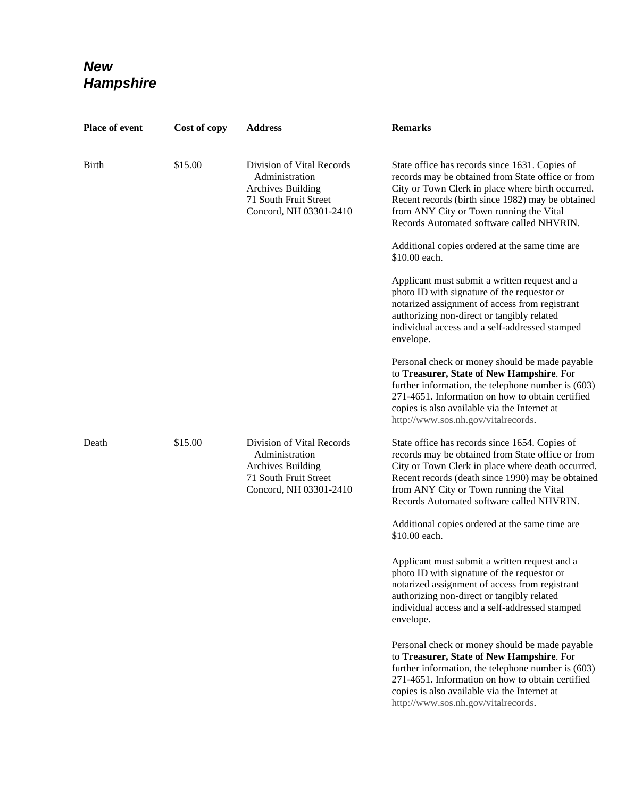## *New Hampshire*

| Place of event | Cost of copy | <b>Address</b>                                                                                                             | <b>Remarks</b>                                                                                                                                                                                                                                                                                        |
|----------------|--------------|----------------------------------------------------------------------------------------------------------------------------|-------------------------------------------------------------------------------------------------------------------------------------------------------------------------------------------------------------------------------------------------------------------------------------------------------|
| <b>Birth</b>   | \$15.00      | Division of Vital Records<br>Administration<br><b>Archives Building</b><br>71 South Fruit Street<br>Concord, NH 03301-2410 | State office has records since 1631. Copies of<br>records may be obtained from State office or from<br>City or Town Clerk in place where birth occurred.<br>Recent records (birth since 1982) may be obtained<br>from ANY City or Town running the Vital<br>Records Automated software called NHVRIN. |
|                |              |                                                                                                                            | Additional copies ordered at the same time are<br>\$10.00 each.                                                                                                                                                                                                                                       |
|                |              |                                                                                                                            | Applicant must submit a written request and a<br>photo ID with signature of the requestor or<br>notarized assignment of access from registrant<br>authorizing non-direct or tangibly related<br>individual access and a self-addressed stamped<br>envelope.                                           |
|                |              |                                                                                                                            | Personal check or money should be made payable<br>to Treasurer, State of New Hampshire. For<br>further information, the telephone number is (603)<br>271-4651. Information on how to obtain certified<br>copies is also available via the Internet at<br>http://www.sos.nh.gov/vitalrecords.          |
| Death          | \$15.00      | Division of Vital Records<br>Administration<br><b>Archives Building</b><br>71 South Fruit Street<br>Concord, NH 03301-2410 | State office has records since 1654. Copies of<br>records may be obtained from State office or from<br>City or Town Clerk in place where death occurred.<br>Recent records (death since 1990) may be obtained<br>from ANY City or Town running the Vital<br>Records Automated software called NHVRIN. |
|                |              |                                                                                                                            | Additional copies ordered at the same time are<br>\$10.00 each.                                                                                                                                                                                                                                       |
|                |              |                                                                                                                            | Applicant must submit a written request and a<br>photo ID with signature of the requestor or<br>notarized assignment of access from registrant<br>authorizing non-direct or tangibly related<br>individual access and a self-addressed stamped<br>envelope.                                           |
|                |              |                                                                                                                            | Personal check or money should be made payable<br>to Treasurer, State of New Hampshire. For<br>further information, the telephone number is (603)<br>271-4651. Information on how to obtain certified<br>copies is also available via the Internet at<br>http://www.sos.nh.gov/vitalrecords.          |